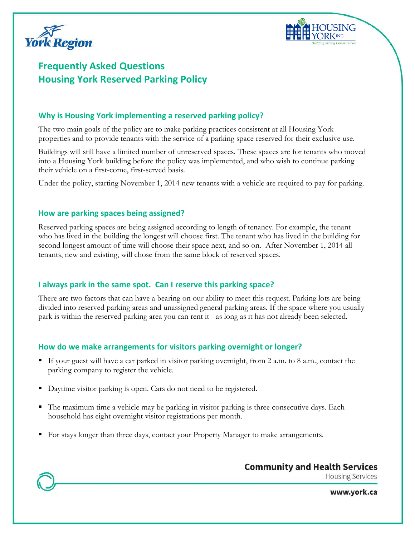



# **Frequently Asked Questions Housing York Reserved Parking Policy**

# **Why is Housing York implementing a reserved parking policy?**

The two main goals of the policy are to make parking practices consistent at all Housing York properties and to provide tenants with the service of a parking space reserved for their exclusive use.

Buildings will still have a limited number of unreserved spaces. These spaces are for tenants who moved into a Housing York building before the policy was implemented, and who wish to continue parking their vehicle on a first-come, first-served basis.

Under the policy, starting November 1, 2014 new tenants with a vehicle are required to pay for parking.

## **How are parking spaces being assigned?**

Reserved parking spaces are being assigned according to length of tenancy. For example, the tenant who has lived in the building the longest will choose first. The tenant who has lived in the building for second longest amount of time will choose their space next, and so on. After November 1, 2014 all tenants, new and existing, will chose from the same block of reserved spaces.

# **I always park in the same spot. Can I reserve this parking space?**

There are two factors that can have a bearing on our ability to meet this request. Parking lots are being divided into reserved parking areas and unassigned general parking areas. If the space where you usually park is within the reserved parking area you can rent it - as long as it has not already been selected.

# **How do we make arrangements for visitors parking overnight or longer?**

- If your guest will have a car parked in visitor parking overnight, from 2 a.m. to 8 a.m., contact the parking company to register the vehicle.
- Daytime visitor parking is open. Cars do not need to be registered.
- The maximum time a vehicle may be parking in visitor parking is three consecutive days. Each household has eight overnight visitor registrations per month.
- For stays longer than three days, contact your Property Manager to make arrangements.



**Housing Services** 

www.york.ca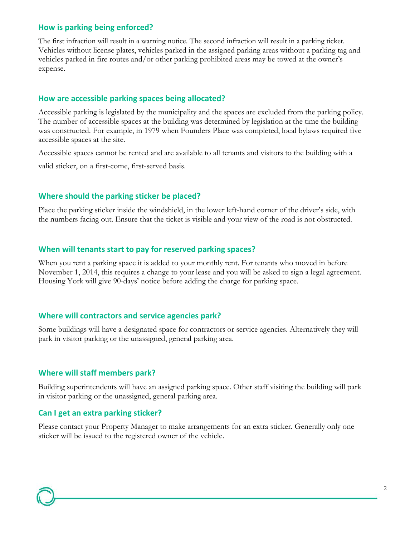## **How is parking being enforced?**

The first infraction will result in a warning notice. The second infraction will result in a parking ticket. Vehicles without license plates, vehicles parked in the assigned parking areas without a parking tag and vehicles parked in fire routes and/or other parking prohibited areas may be towed at the owner's expense.

#### **How are accessible parking spaces being allocated?**

Accessible parking is legislated by the municipality and the spaces are excluded from the parking policy. The number of accessible spaces at the building was determined by legislation at the time the building was constructed. For example, in 1979 when Founders Place was completed, local bylaws required five accessible spaces at the site.

Accessible spaces cannot be rented and are available to all tenants and visitors to the building with a valid sticker, on a first-come, first-served basis.

#### **Where should the parking sticker be placed?**

Place the parking sticker inside the windshield, in the lower left-hand corner of the driver's side, with the numbers facing out. Ensure that the ticket is visible and your view of the road is not obstructed.

#### **When will tenants start to pay for reserved parking spaces?**

When you rent a parking space it is added to your monthly rent. For tenants who moved in before November 1, 2014, this requires a change to your lease and you will be asked to sign a legal agreement. Housing York will give 90-days' notice before adding the charge for parking space.

#### **Where will contractors and service agencies park?**

Some buildings will have a designated space for contractors or service agencies. Alternatively they will park in visitor parking or the unassigned, general parking area.

#### **Where will staff members park?**

Building superintendents will have an assigned parking space. Other staff visiting the building will park in visitor parking or the unassigned, general parking area.

## **Can I get an extra parking sticker?**

Please contact your Property Manager to make arrangements for an extra sticker. Generally only one sticker will be issued to the registered owner of the vehicle.